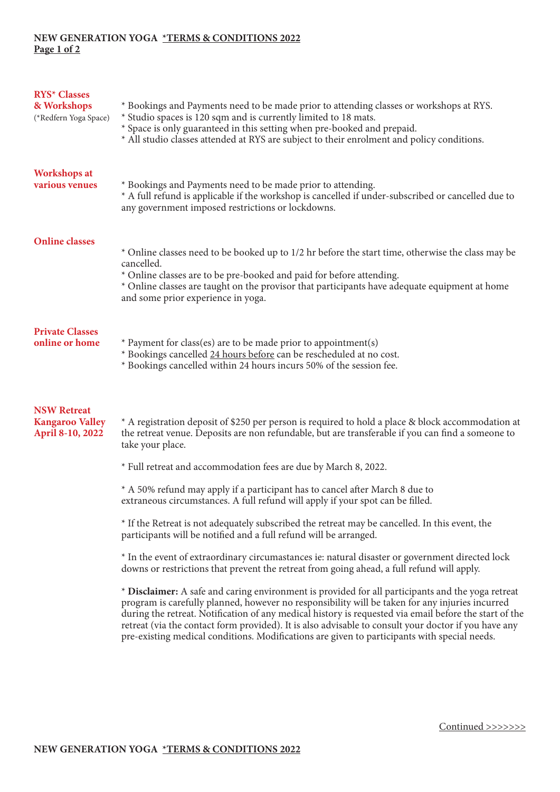## **NEW GENERATION YOGA \*TERMS & CONDITIONS 2022 Page 1 of 2**

| <b>RYS* Classes</b><br>& Workshops<br>(*Redfern Yoga Space)      | * Bookings and Payments need to be made prior to attending classes or workshops at RYS.<br>* Studio spaces is 120 sqm and is currently limited to 18 mats.<br>* Space is only guaranteed in this setting when pre-booked and prepaid.<br>* All studio classes attended at RYS are subject to their enrolment and policy conditions.                                                                                                                                                                                    |
|------------------------------------------------------------------|------------------------------------------------------------------------------------------------------------------------------------------------------------------------------------------------------------------------------------------------------------------------------------------------------------------------------------------------------------------------------------------------------------------------------------------------------------------------------------------------------------------------|
| <b>Workshops at</b><br>various venues                            | * Bookings and Payments need to be made prior to attending.<br>* A full refund is applicable if the workshop is cancelled if under-subscribed or cancelled due to<br>any government imposed restrictions or lockdowns.                                                                                                                                                                                                                                                                                                 |
| <b>Online classes</b>                                            | * Online classes need to be booked up to 1/2 hr before the start time, otherwise the class may be<br>cancelled.<br>* Online classes are to be pre-booked and paid for before attending.<br>* Online classes are taught on the provisor that participants have adequate equipment at home<br>and some prior experience in yoga.                                                                                                                                                                                         |
| <b>Private Classes</b><br>online or home                         | * Payment for class(es) are to be made prior to appointment(s)<br>* Bookings cancelled 24 hours before can be rescheduled at no cost.<br>* Bookings cancelled within 24 hours incurs 50% of the session fee.                                                                                                                                                                                                                                                                                                           |
| <b>NSW Retreat</b><br><b>Kangaroo Valley</b><br>April 8-10, 2022 | * A registration deposit of \$250 per person is required to hold a place & block accommodation at<br>the retreat venue. Deposits are non refundable, but are transferable if you can find a someone to<br>take your place.<br>* Full retreat and accommodation fees are due by March 8, 2022.                                                                                                                                                                                                                          |
|                                                                  | * A 50% refund may apply if a participant has to cancel after March 8 due to                                                                                                                                                                                                                                                                                                                                                                                                                                           |
|                                                                  | extraneous circumstances. A full refund will apply if your spot can be filled.                                                                                                                                                                                                                                                                                                                                                                                                                                         |
|                                                                  | * If the Retreat is not adequately subscribed the retreat may be cancelled. In this event, the<br>participants will be notified and a full refund will be arranged.                                                                                                                                                                                                                                                                                                                                                    |
|                                                                  | * In the event of extraordinary circumastances ie: natural disaster or government directed lock<br>downs or restrictions that prevent the retreat from going ahead, a full refund will apply.                                                                                                                                                                                                                                                                                                                          |
|                                                                  | * Disclaimer: A safe and caring environment is provided for all participants and the yoga retreat<br>program is carefully planned, however no responsibility will be taken for any injuries incurred<br>during the retreat. Notification of any medical history is requested via email before the start of the<br>retreat (via the contact form provided). It is also advisable to consult your doctor if you have any<br>pre-existing medical conditions. Modifications are given to participants with special needs. |